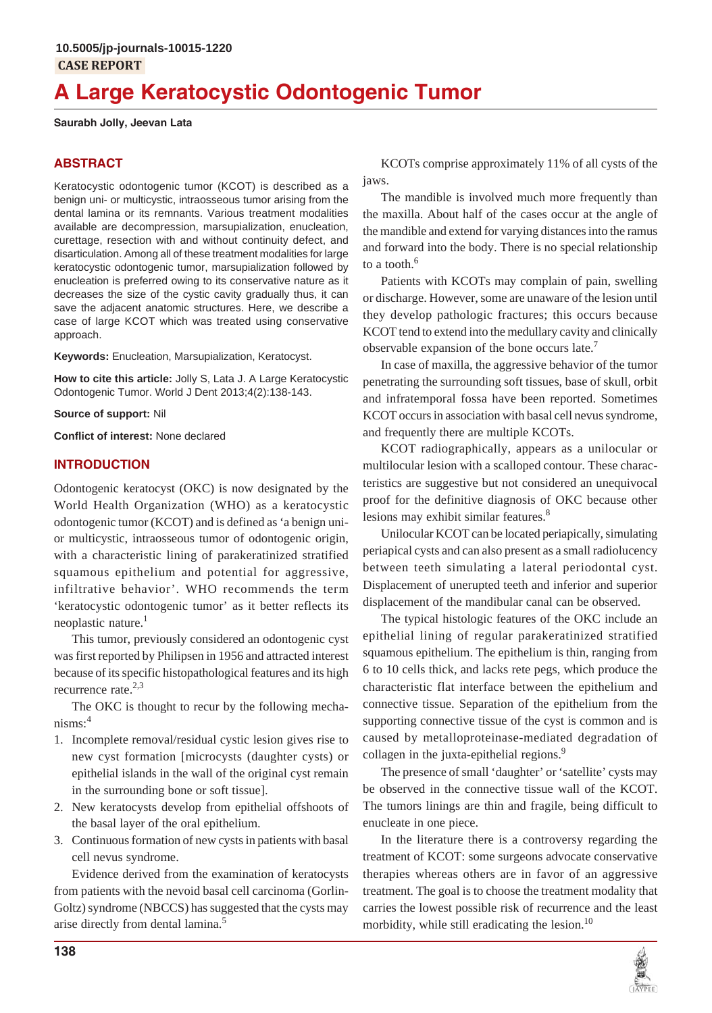# **A Large Keratocystic Odontogenic Tumor**

#### **Saurabh Jolly, Jeevan Lata**

# **ABSTRACT**

Keratocystic odontogenic tumor (KCOT) is described as a benign uni- or multicystic, intraosseous tumor arising from the dental lamina or its remnants. Various treatment modalities available are decompression, marsupialization, enucleation, curettage, resection with and without continuity defect, and disarticulation. Among all of these treatment modalities for large keratocystic odontogenic tumor, marsupialization followed by enucleation is preferred owing to its conservative nature as it decreases the size of the cystic cavity gradually thus, it can save the adjacent anatomic structures. Here, we describe a case of large KCOT which was treated using conservative approach.

**Keywords:** Enucleation, Marsupialization, Keratocyst.

**How to cite this article:** Jolly S, Lata J. A Large Keratocystic Odontogenic Tumor. World J Dent 2013;4(2):138-143.

**Source of support:** Nil

**Conflict of interest:** None declared

## **INTRODUCTION**

Odontogenic keratocyst (OKC) is now designated by the World Health Organization (WHO) as a keratocystic odontogenic tumor (KCOT) and is defined as 'a benign unior multicystic, intraosseous tumor of odontogenic origin, with a characteristic lining of parakeratinized stratified squamous epithelium and potential for aggressive, infiltrative behavior'. WHO recommends the term 'keratocystic odontogenic tumor' as it better reflects its neoplastic nature. $<sup>1</sup>$ </sup>

This tumor, previously considered an odontogenic cyst was first reported by Philipsen in 1956 and attracted interest because of its specific histopathological features and its high recurrence rate. $2,3$ 

The OKC is thought to recur by the following mecha $nisms: <sup>4</sup>$ 

- 1. Incomplete removal/residual cystic lesion gives rise to new cyst formation [microcysts (daughter cysts) or epithelial islands in the wall of the original cyst remain in the surrounding bone or soft tissue].
- 2. New keratocysts develop from epithelial offshoots of the basal layer of the oral epithelium.
- 3. Continuous formation of new cysts in patients with basal cell nevus syndrome.

Evidence derived from the examination of keratocysts from patients with the nevoid basal cell carcinoma (Gorlin-Goltz) syndrome (NBCCS) has suggested that the cysts may arise directly from dental lamina.5

KCOTs comprise approximately 11% of all cysts of the jaws.

The mandible is involved much more frequently than the maxilla. About half of the cases occur at the angle of the mandible and extend for varying distances into the ramus and forward into the body. There is no special relationship to a tooth.<sup>6</sup>

Patients with KCOTs may complain of pain, swelling or discharge. However, some are unaware of the lesion until they develop pathologic fractures; this occurs because KCOT tend to extend into the medullary cavity and clinically observable expansion of the bone occurs late.<sup>7</sup>

In case of maxilla, the aggressive behavior of the tumor penetrating the surrounding soft tissues, base of skull, orbit and infratemporal fossa have been reported. Sometimes KCOT occurs in association with basal cell nevus syndrome, and frequently there are multiple KCOTs.

KCOT radiographically, appears as a unilocular or multilocular lesion with a scalloped contour. These characteristics are suggestive but not considered an unequivocal proof for the definitive diagnosis of OKC because other lesions may exhibit similar features.<sup>8</sup>

Unilocular KCOT can be located periapically, simulating periapical cysts and can also present as a small radiolucency between teeth simulating a lateral periodontal cyst. Displacement of unerupted teeth and inferior and superior displacement of the mandibular canal can be observed.

The typical histologic features of the OKC include an epithelial lining of regular parakeratinized stratified squamous epithelium. The epithelium is thin, ranging from 6 to 10 cells thick, and lacks rete pegs, which produce the characteristic flat interface between the epithelium and connective tissue. Separation of the epithelium from the supporting connective tissue of the cyst is common and is caused by metalloproteinase-mediated degradation of collagen in the juxta-epithelial regions.<sup>9</sup>

The presence of small 'daughter' or 'satellite' cysts may be observed in the connective tissue wall of the KCOT. The tumors linings are thin and fragile, being difficult to enucleate in one piece.

In the literature there is a controversy regarding the treatment of KCOT: some surgeons advocate conservative therapies whereas others are in favor of an aggressive treatment. The goal is to choose the treatment modality that carries the lowest possible risk of recurrence and the least morbidity, while still eradicating the lesion.<sup>10</sup>

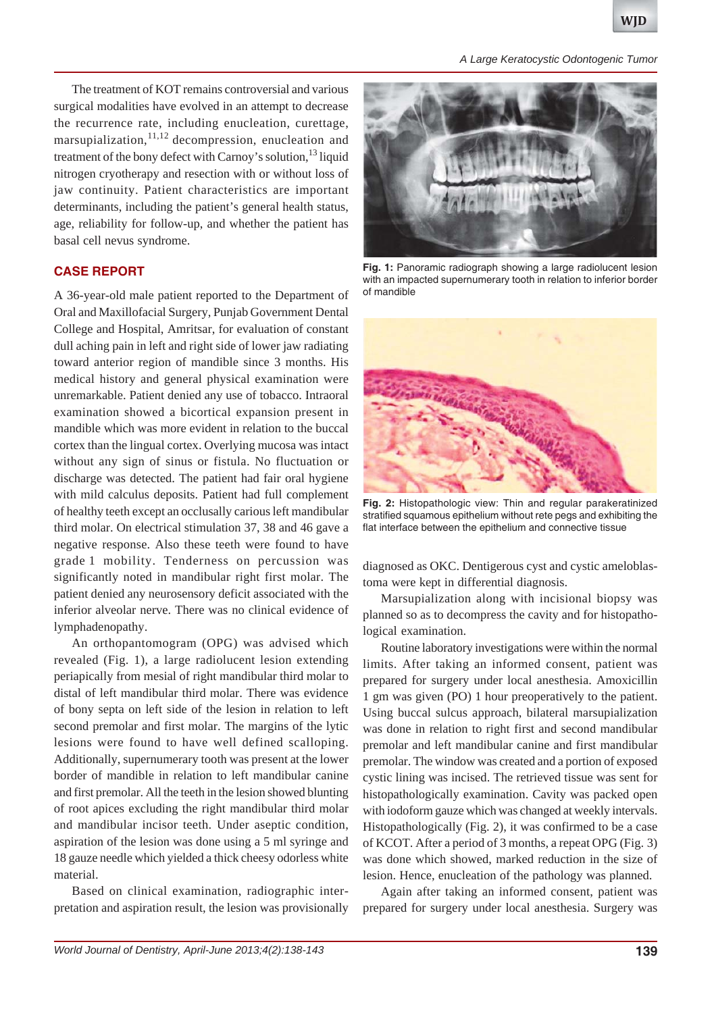*A Large Keratocystic Odontogenic Tumor*

The treatment of KOT remains controversial and various surgical modalities have evolved in an attempt to decrease the recurrence rate, including enucleation, curettage, marsupialization,  $11,12$  decompression, enucleation and treatment of the bony defect with Carnoy's solution, $^{13}$  liquid nitrogen cryotherapy and resection with or without loss of jaw continuity. Patient characteristics are important determinants, including the patient's general health status, age, reliability for follow-up, and whether the patient has basal cell nevus syndrome.

## **CASE REPORT**

A 36-year-old male patient reported to the Department of Oral and Maxillofacial Surgery, Punjab Government Dental College and Hospital, Amritsar, for evaluation of constant dull aching pain in left and right side of lower jaw radiating toward anterior region of mandible since 3 months. His medical history and general physical examination were unremarkable. Patient denied any use of tobacco. Intraoral examination showed a bicortical expansion present in mandible which was more evident in relation to the buccal cortex than the lingual cortex. Overlying mucosa was intact without any sign of sinus or fistula. No fluctuation or discharge was detected. The patient had fair oral hygiene with mild calculus deposits. Patient had full complement of healthy teeth except an occlusally carious left mandibular third molar. On electrical stimulation 37, 38 and 46 gave a negative response. Also these teeth were found to have grade 1 mobility. Tenderness on percussion was significantly noted in mandibular right first molar. The patient denied any neurosensory deficit associated with the inferior alveolar nerve. There was no clinical evidence of lymphadenopathy.

An orthopantomogram (OPG) was advised which revealed (Fig. 1), a large radiolucent lesion extending periapically from mesial of right mandibular third molar to distal of left mandibular third molar. There was evidence of bony septa on left side of the lesion in relation to left second premolar and first molar. The margins of the lytic lesions were found to have well defined scalloping. Additionally, supernumerary tooth was present at the lower border of mandible in relation to left mandibular canine and first premolar. All the teeth in the lesion showed blunting of root apices excluding the right mandibular third molar and mandibular incisor teeth. Under aseptic condition, aspiration of the lesion was done using a 5 ml syringe and 18 gauze needle which yielded a thick cheesy odorless white material.

Based on clinical examination, radiographic interpretation and aspiration result, the lesion was provisionally



**Fig. 1:** Panoramic radiograph showing a large radiolucent lesion with an impacted supernumerary tooth in relation to inferior border of mandible



**Fig. 2:** Histopathologic view: Thin and regular parakeratinized stratified squamous epithelium without rete pegs and exhibiting the flat interface between the epithelium and connective tissue

diagnosed as OKC. Dentigerous cyst and cystic ameloblastoma were kept in differential diagnosis.

Marsupialization along with incisional biopsy was planned so as to decompress the cavity and for histopathological examination.

Routine laboratory investigations were within the normal limits. After taking an informed consent, patient was prepared for surgery under local anesthesia. Amoxicillin 1 gm was given (PO) 1 hour preoperatively to the patient. Using buccal sulcus approach, bilateral marsupialization was done in relation to right first and second mandibular premolar and left mandibular canine and first mandibular premolar. The window was created and a portion of exposed cystic lining was incised. The retrieved tissue was sent for histopathologically examination. Cavity was packed open with iodoform gauze which was changed at weekly intervals. Histopathologically (Fig. 2), it was confirmed to be a case of KCOT. After a period of 3 months, a repeat OPG (Fig. 3) was done which showed, marked reduction in the size of lesion. Hence, enucleation of the pathology was planned.

Again after taking an informed consent, patient was prepared for surgery under local anesthesia. Surgery was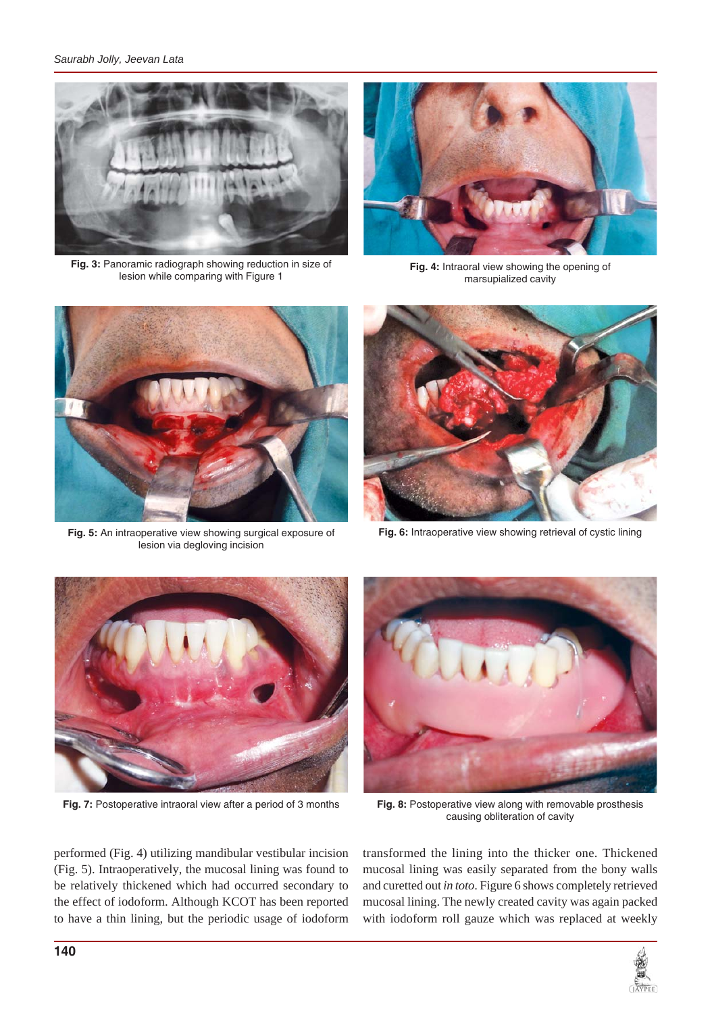*Saurabh Jolly, Jeevan Lata*



**Fig. 3:** Panoramic radiograph showing reduction in size of lesion while comparing with Figure 1



**Fig. 4:** Intraoral view showing the opening of marsupialized cavity



**Fig. 5:** An intraoperative view showing surgical exposure of lesion via degloving incision



**Fig. 6:** Intraoperative view showing retrieval of cystic lining



**Fig. 7:** Postoperative intraoral view after a period of 3 months **Fig. 8:** Postoperative view along with removable prosthesis



causing obliteration of cavity

performed (Fig. 4) utilizing mandibular vestibular incision (Fig. 5). Intraoperatively, the mucosal lining was found to be relatively thickened which had occurred secondary to the effect of iodoform. Although KCOT has been reported to have a thin lining, but the periodic usage of iodoform

transformed the lining into the thicker one. Thickened mucosal lining was easily separated from the bony walls and curetted out *in toto*. Figure 6 shows completely retrieved mucosal lining. The newly created cavity was again packed with iodoform roll gauze which was replaced at weekly

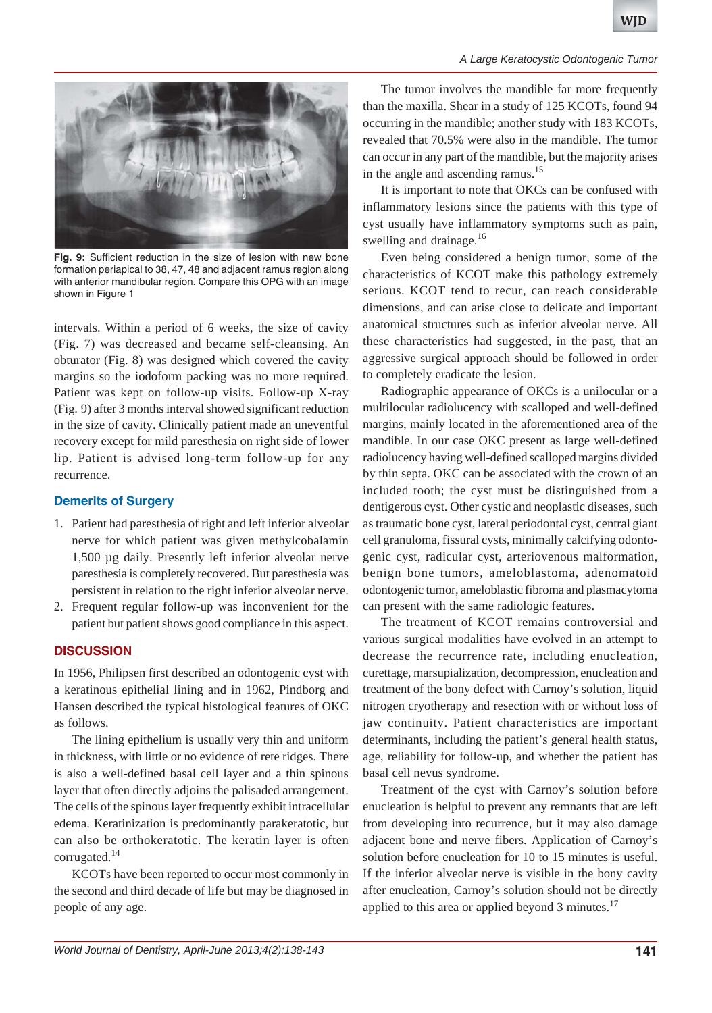

**Fig. 9:** Sufficient reduction in the size of lesion with new bone formation periapical to 38, 47, 48 and adjacent ramus region along with anterior mandibular region. Compare this OPG with an image shown in Figure 1

intervals. Within a period of 6 weeks, the size of cavity (Fig. 7) was decreased and became self-cleansing. An obturator (Fig. 8) was designed which covered the cavity margins so the iodoform packing was no more required. Patient was kept on follow-up visits. Follow-up X-ray (Fig. 9) after 3 months interval showed significant reduction in the size of cavity. Clinically patient made an uneventful recovery except for mild paresthesia on right side of lower lip. Patient is advised long-term follow-up for any recurrence.

## **Demerits of Surgery**

- 1. Patient had paresthesia of right and left inferior alveolar nerve for which patient was given methylcobalamin 1,500 µg daily. Presently left inferior alveolar nerve paresthesia is completely recovered. But paresthesia was persistent in relation to the right inferior alveolar nerve.
- 2. Frequent regular follow-up was inconvenient for the patient but patient shows good compliance in this aspect.

# **DISCUSSION**

In 1956, Philipsen first described an odontogenic cyst with a keratinous epithelial lining and in 1962, Pindborg and Hansen described the typical histological features of OKC as follows.

The lining epithelium is usually very thin and uniform in thickness, with little or no evidence of rete ridges. There is also a well-defined basal cell layer and a thin spinous layer that often directly adjoins the palisaded arrangement. The cells of the spinous layer frequently exhibit intracellular edema. Keratinization is predominantly parakeratotic, but can also be orthokeratotic. The keratin layer is often corrugated.14

KCOTs have been reported to occur most commonly in the second and third decade of life but may be diagnosed in people of any age.

The tumor involves the mandible far more frequently than the maxilla. Shear in a study of 125 KCOTs, found 94 occurring in the mandible; another study with 183 KCOTs, revealed that 70.5% were also in the mandible. The tumor can occur in any part of the mandible, but the majority arises in the angle and ascending ramus.<sup>15</sup>

It is important to note that OKCs can be confused with inflammatory lesions since the patients with this type of cyst usually have inflammatory symptoms such as pain, swelling and drainage.<sup>16</sup>

Even being considered a benign tumor, some of the characteristics of KCOT make this pathology extremely serious. KCOT tend to recur, can reach considerable dimensions, and can arise close to delicate and important anatomical structures such as inferior alveolar nerve. All these characteristics had suggested, in the past, that an aggressive surgical approach should be followed in order to completely eradicate the lesion.

Radiographic appearance of OKCs is a unilocular or a multilocular radiolucency with scalloped and well-defined margins, mainly located in the aforementioned area of the mandible. In our case OKC present as large well-defined radiolucency having well-defined scalloped margins divided by thin septa. OKC can be associated with the crown of an included tooth; the cyst must be distinguished from a dentigerous cyst. Other cystic and neoplastic diseases, such as traumatic bone cyst, lateral periodontal cyst, central giant cell granuloma, fissural cysts, minimally calcifying odontogenic cyst, radicular cyst, arteriovenous malformation, benign bone tumors, ameloblastoma, adenomatoid odontogenic tumor, ameloblastic fibroma and plasmacytoma can present with the same radiologic features.

The treatment of KCOT remains controversial and various surgical modalities have evolved in an attempt to decrease the recurrence rate, including enucleation, curettage, marsupialization, decompression, enucleation and treatment of the bony defect with Carnoy's solution, liquid nitrogen cryotherapy and resection with or without loss of jaw continuity. Patient characteristics are important determinants, including the patient's general health status, age, reliability for follow-up, and whether the patient has basal cell nevus syndrome.

Treatment of the cyst with Carnoy's solution before enucleation is helpful to prevent any remnants that are left from developing into recurrence, but it may also damage adjacent bone and nerve fibers. Application of Carnoy's solution before enucleation for 10 to 15 minutes is useful. If the inferior alveolar nerve is visible in the bony cavity after enucleation, Carnoy's solution should not be directly applied to this area or applied beyond  $3$  minutes.<sup>17</sup>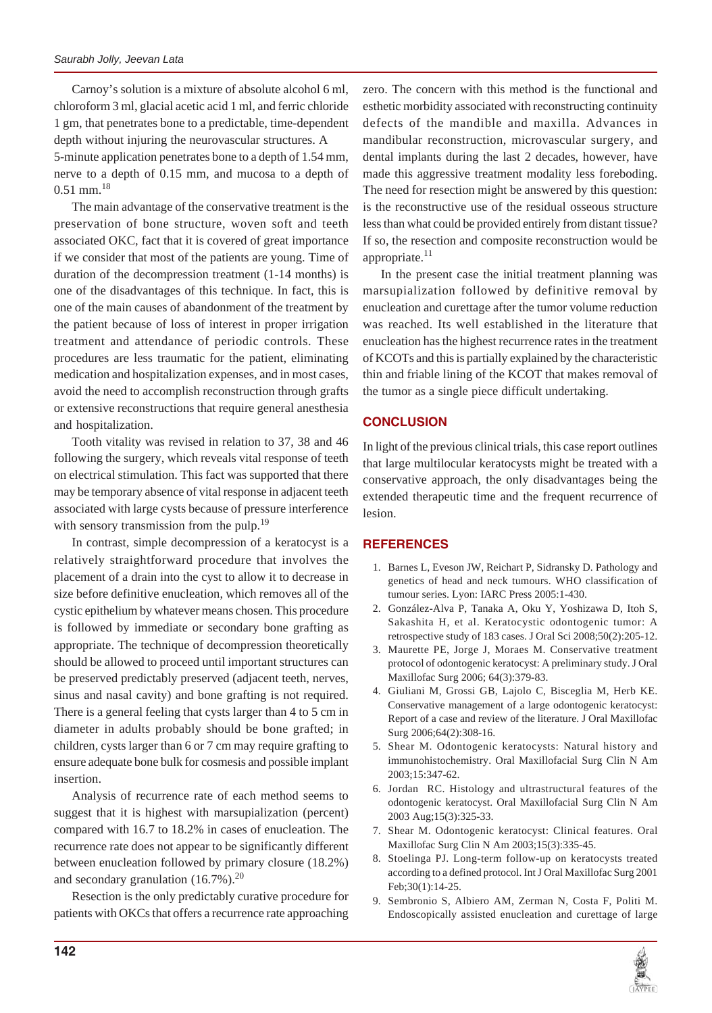Carnoy's solution is a mixture of absolute alcohol 6 ml, chloroform 3 ml, glacial acetic acid 1 ml, and ferric chloride 1 gm, that penetrates bone to a predictable, time-dependent depth without injuring the neurovascular structures. A 5-minute application penetrates bone to a depth of 1.54 mm, nerve to a depth of 0.15 mm, and mucosa to a depth of 0.51 mm.18

The main advantage of the conservative treatment is the preservation of bone structure, woven soft and teeth associated OKC, fact that it is covered of great importance if we consider that most of the patients are young. Time of duration of the decompression treatment (1-14 months) is one of the disadvantages of this technique. In fact, this is one of the main causes of abandonment of the treatment by the patient because of loss of interest in proper irrigation treatment and attendance of periodic controls. These procedures are less traumatic for the patient, eliminating medication and hospitalization expenses, and in most cases, avoid the need to accomplish reconstruction through grafts or extensive reconstructions that require general anesthesia and hospitalization.

Tooth vitality was revised in relation to 37, 38 and 46 following the surgery, which reveals vital response of teeth on electrical stimulation. This fact was supported that there may be temporary absence of vital response in adjacent teeth associated with large cysts because of pressure interference with sensory transmission from the pulp.<sup>19</sup>

In contrast, simple decompression of a keratocyst is a relatively straightforward procedure that involves the placement of a drain into the cyst to allow it to decrease in size before definitive enucleation, which removes all of the cystic epithelium by whatever means chosen. This procedure is followed by immediate or secondary bone grafting as appropriate. The technique of decompression theoretically should be allowed to proceed until important structures can be preserved predictably preserved (adjacent teeth, nerves, sinus and nasal cavity) and bone grafting is not required. There is a general feeling that cysts larger than 4 to 5 cm in diameter in adults probably should be bone grafted; in children, cysts larger than 6 or 7 cm may require grafting to ensure adequate bone bulk for cosmesis and possible implant insertion.

Analysis of recurrence rate of each method seems to suggest that it is highest with marsupialization (percent) compared with 16.7 to 18.2% in cases of enucleation. The recurrence rate does not appear to be significantly different between enucleation followed by primary closure (18.2%) and secondary granulation  $(16.7\%)$ .<sup>20</sup>

Resection is the only predictably curative procedure for patients with OKCs that offers a recurrence rate approaching

zero. The concern with this method is the functional and esthetic morbidity associated with reconstructing continuity defects of the mandible and maxilla. Advances in mandibular reconstruction, microvascular surgery, and dental implants during the last 2 decades, however, have made this aggressive treatment modality less foreboding. The need for resection might be answered by this question: is the reconstructive use of the residual osseous structure less than what could be provided entirely from distant tissue? If so, the resection and composite reconstruction would be appropriate. $^{11}$ 

In the present case the initial treatment planning was marsupialization followed by definitive removal by enucleation and curettage after the tumor volume reduction was reached. Its well established in the literature that enucleation has the highest recurrence rates in the treatment of KCOTs and this is partially explained by the characteristic thin and friable lining of the KCOT that makes removal of the tumor as a single piece difficult undertaking.

#### **CONCLUSION**

In light of the previous clinical trials, this case report outlines that large multilocular keratocysts might be treated with a conservative approach, the only disadvantages being the extended therapeutic time and the frequent recurrence of lesion.

#### **REFERENCES**

- 1. Barnes L, Eveson JW, Reichart P, Sidransky D. Pathology and genetics of head and neck tumours. WHO classification of tumour series. Lyon: IARC Press 2005:1-430.
- 2. González-Alva P, Tanaka A, Oku Y, Yoshizawa D, Itoh S, Sakashita H, et al. Keratocystic odontogenic tumor: A retrospective study of 183 cases. J Oral Sci 2008;50(2):205-12.
- 3. Maurette PE, Jorge J, Moraes M. Conservative treatment protocol of odontogenic keratocyst: A preliminary study. J Oral Maxillofac Surg 2006; 64(3):379-83.
- 4. Giuliani M, Grossi GB, Lajolo C, Bisceglia M, Herb KE. Conservative management of a large odontogenic keratocyst: Report of a case and review of the literature. J Oral Maxillofac Surg 2006;64(2):308-16.
- 5. Shear M. Odontogenic keratocysts: Natural history and immunohistochemistry. Oral Maxillofacial Surg Clin N Am 2003;15:347-62.
- 6. Jordan RC. Histology and ultrastructural features of the odontogenic keratocyst. Oral Maxillofacial Surg Clin N Am 2003 Aug;15(3):325-33.
- 7. Shear M. Odontogenic keratocyst: Clinical features. Oral Maxillofac Surg Clin N Am 2003;15(3):335-45.
- 8. Stoelinga PJ. Long-term follow-up on keratocysts treated according to a defined protocol. Int J Oral Maxillofac Surg 2001 Feb;30(1):14-25.
- 9. Sembronio S, Albiero AM, Zerman N, Costa F, Politi M. Endoscopically assisted enucleation and curettage of large